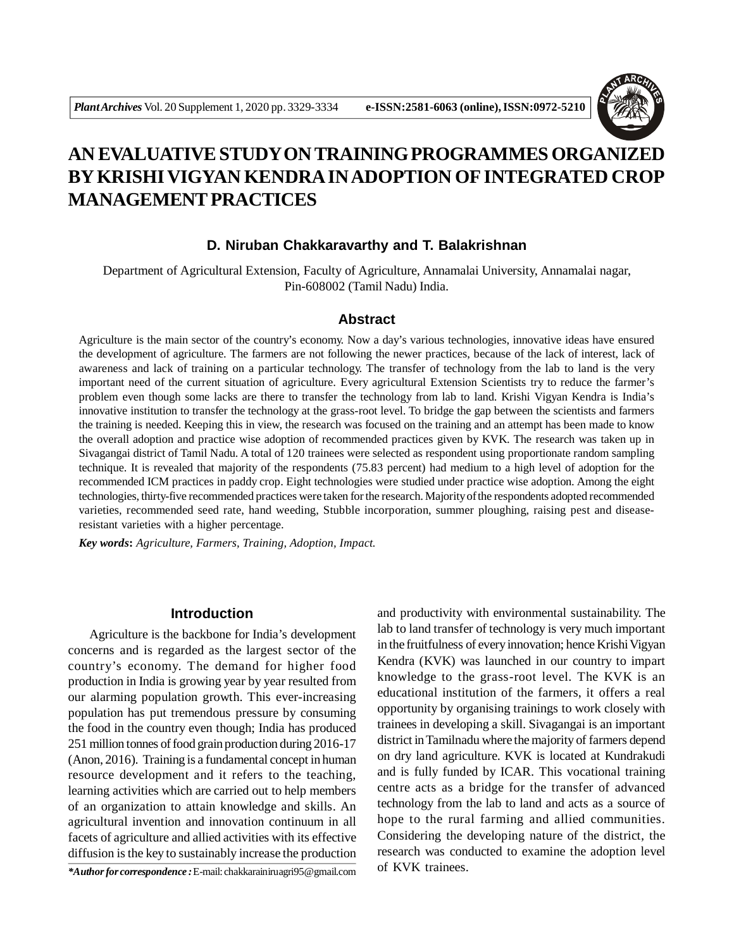

# **AN EVALUATIVE STUDY ON TRAINING PROGRAMMES ORGANIZED BY KRISHI VIGYAN KENDRA IN ADOPTION OF INTEGRATED CROP MANAGEMENT PRACTICES**

# **D. Niruban Chakkaravarthy and T. Balakrishnan**

Department of Agricultural Extension, Faculty of Agriculture, Annamalai University, Annamalai nagar, Pin-608002 (Tamil Nadu) India.

#### **Abstract**

Agriculture is the main sector of the country's economy. Now a day's various technologies, innovative ideas have ensured the development of agriculture. The farmers are not following the newer practices, because of the lack of interest, lack of awareness and lack of training on a particular technology. The transfer of technology from the lab to land is the very important need of the current situation of agriculture. Every agricultural Extension Scientists try to reduce the farmer's problem even though some lacks are there to transfer the technology from lab to land. Krishi Vigyan Kendra is India's innovative institution to transfer the technology at the grass-root level. To bridge the gap between the scientists and farmers the training is needed. Keeping this in view, the research was focused on the training and an attempt has been made to know the overall adoption and practice wise adoption of recommended practices given by KVK. The research was taken up in Sivagangai district of Tamil Nadu. A total of 120 trainees were selected as respondent using proportionate random sampling technique. It is revealed that majority of the respondents (75.83 percent) had medium to a high level of adoption for the recommended ICM practices in paddy crop. Eight technologies were studied under practice wise adoption. Among the eight technologies, thirty-five recommended practices were taken for the research. Majority of the respondents adopted recommended varieties, recommended seed rate, hand weeding, Stubble incorporation, summer ploughing, raising pest and diseaseresistant varieties with a higher percentage.

*Key words***:** *Agriculture, Farmers, Training, Adoption, Impact.*

# **Introduction**

Agriculture is the backbone for India's development concerns and is regarded as the largest sector of the country's economy. The demand for higher food production in India is growing year by year resulted from our alarming population growth. This ever-increasing population has put tremendous pressure by consuming the food in the country even though; India has produced 251 million tonnes of food grain production during 2016-17 (Anon, 2016). Training is a fundamental concept in human resource development and it refers to the teaching, learning activities which are carried out to help members of an organization to attain knowledge and skills. An agricultural invention and innovation continuum in all facets of agriculture and allied activities with its effective diffusion is the key to sustainably increase the production

\***Author for correspondence**: E-mail: chakkarainiruagri95@gmail.com of KVK trainees.

and productivity with environmental sustainability. The lab to land transfer of technology is very much important in the fruitfulness of every innovation; hence Krishi Vigyan Kendra (KVK) was launched in our country to impart knowledge to the grass-root level. The KVK is an educational institution of the farmers, it offers a real opportunity by organising trainings to work closely with trainees in developing a skill. Sivagangai is an important district in Tamilnadu where the majority of farmers depend on dry land agriculture. KVK is located at Kundrakudi and is fully funded by ICAR. This vocational training centre acts as a bridge for the transfer of advanced technology from the lab to land and acts as a source of hope to the rural farming and allied communities. Considering the developing nature of the district, the research was conducted to examine the adoption level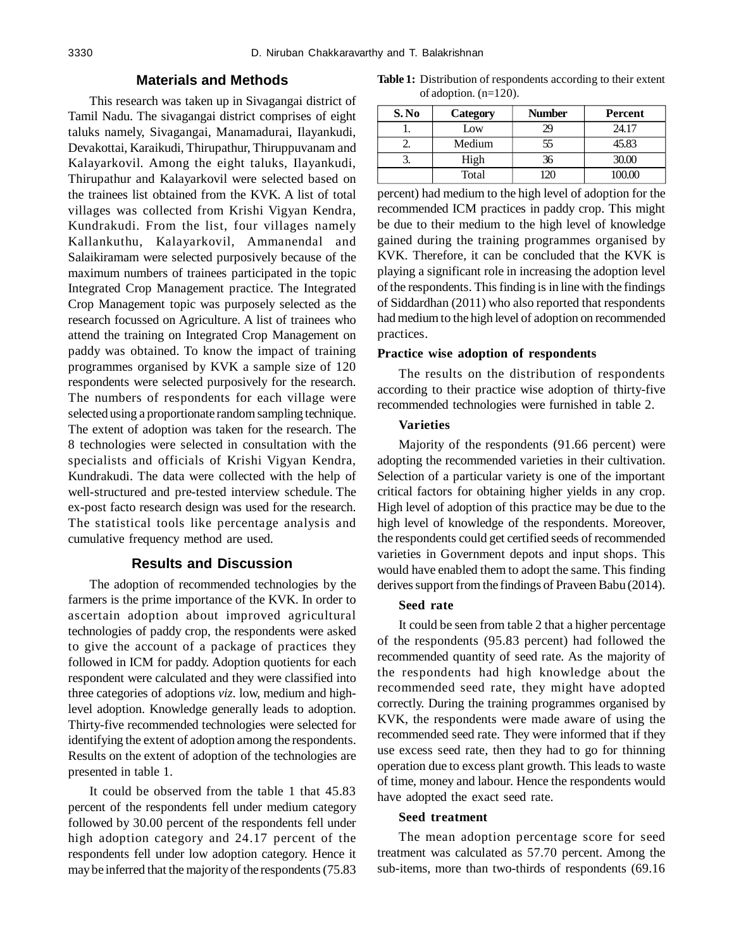# **Materials and Methods**

This research was taken up in Sivagangai district of Tamil Nadu. The sivagangai district comprises of eight taluks namely, Sivagangai, Manamadurai, Ilayankudi, Devakottai, Karaikudi, Thirupathur, Thiruppuvanam and Kalayarkovil. Among the eight taluks, Ilayankudi, Thirupathur and Kalayarkovil were selected based on the trainees list obtained from the KVK. A list of total villages was collected from Krishi Vigyan Kendra, Kundrakudi. From the list, four villages namely Kallankuthu, Kalayarkovil, Ammanendal and Salaikiramam were selected purposively because of the maximum numbers of trainees participated in the topic Integrated Crop Management practice. The Integrated Crop Management topic was purposely selected as the research focussed on Agriculture. A list of trainees who attend the training on Integrated Crop Management on paddy was obtained. To know the impact of training programmes organised by KVK a sample size of 120 respondents were selected purposively for the research. The numbers of respondents for each village were selected using a proportionate random sampling technique. The extent of adoption was taken for the research. The 8 technologies were selected in consultation with the specialists and officials of Krishi Vigyan Kendra, Kundrakudi. The data were collected with the help of well-structured and pre-tested interview schedule. The ex-post facto research design was used for the research. The statistical tools like percentage analysis and cumulative frequency method are used.

## **Results and Discussion**

The adoption of recommended technologies by the farmers is the prime importance of the KVK. In order to ascertain adoption about improved agricultural technologies of paddy crop, the respondents were asked to give the account of a package of practices they followed in ICM for paddy. Adoption quotients for each respondent were calculated and they were classified into three categories of adoptions *viz.* low, medium and highlevel adoption. Knowledge generally leads to adoption. Thirty-five recommended technologies were selected for identifying the extent of adoption among the respondents. Results on the extent of adoption of the technologies are presented in table 1.

It could be observed from the table 1 that 45.83 percent of the respondents fell under medium category followed by 30.00 percent of the respondents fell under high adoption category and 24.17 percent of the respondents fell under low adoption category. Hence it may be inferred that the majority of the respondents (75.83

**Table 1:** Distribution of respondents according to their extent of adoption. (n=120).

| S. No | Category | <b>Number</b> | Percent |
|-------|----------|---------------|---------|
|       | Low      | 29            | 24.17   |
|       | Medium   | 55            | 45.83   |
|       | High     | 36            | 30.00   |
|       | Total    | $\gamma$      | 100.00  |

percent) had medium to the high level of adoption for the recommended ICM practices in paddy crop. This might be due to their medium to the high level of knowledge gained during the training programmes organised by KVK. Therefore, it can be concluded that the KVK is playing a significant role in increasing the adoption level of the respondents. This finding is in line with the findings of Siddardhan (2011) who also reported that respondents had medium to the high level of adoption on recommended practices.

#### **Practice wise adoption of respondents**

The results on the distribution of respondents according to their practice wise adoption of thirty-five recommended technologies were furnished in table 2.

#### **Varieties**

Majority of the respondents (91.66 percent) were adopting the recommended varieties in their cultivation. Selection of a particular variety is one of the important critical factors for obtaining higher yields in any crop. High level of adoption of this practice may be due to the high level of knowledge of the respondents. Moreover, the respondents could get certified seeds of recommended varieties in Government depots and input shops. This would have enabled them to adopt the same. This finding derives support from the findings of Praveen Babu (2014).

## **Seed rate**

It could be seen from table 2 that a higher percentage of the respondents (95.83 percent) had followed the recommended quantity of seed rate. As the majority of the respondents had high knowledge about the recommended seed rate, they might have adopted correctly. During the training programmes organised by KVK, the respondents were made aware of using the recommended seed rate. They were informed that if they use excess seed rate, then they had to go for thinning operation due to excess plant growth. This leads to waste of time, money and labour. Hence the respondents would have adopted the exact seed rate.

## **Seed treatment**

The mean adoption percentage score for seed treatment was calculated as 57.70 percent. Among the sub-items, more than two-thirds of respondents (69.16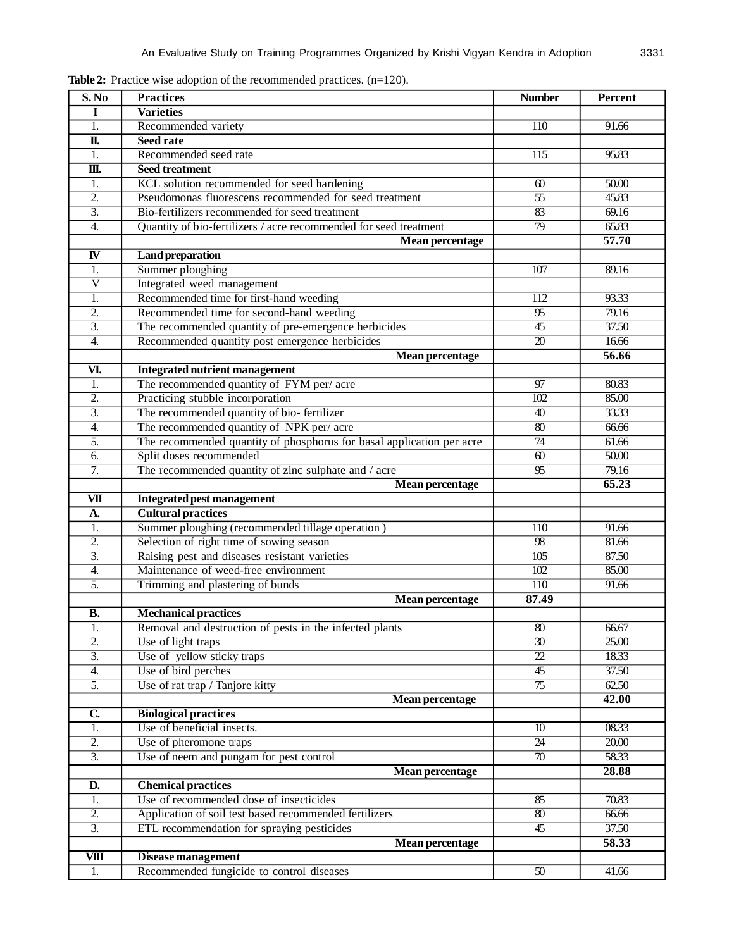| S. No                     | <b>Practices</b>                                                                  | <b>Number</b>          | Percent        |
|---------------------------|-----------------------------------------------------------------------------------|------------------------|----------------|
| I                         | <b>Varieties</b>                                                                  |                        |                |
| 1.                        | Recommended variety                                                               | 110                    | 91.66          |
| $\overline{\mathbf{u}}$   | <b>Seed rate</b>                                                                  |                        |                |
| $\overline{1}$ .          | Recommended seed rate                                                             | 115                    | 95.83          |
| $\overline{\mathbf{m}}$ . | <b>Seed treatment</b>                                                             |                        |                |
| 1.                        | KCL solution recommended for seed hardening                                       | 60                     | 50.00          |
| $\overline{2}$ .          | Pseudomonas fluorescens recommended for seed treatment                            | $\overline{55}$        | 45.83          |
| $\overline{3}$ .          | Bio-fertilizers recommended for seed treatment                                    | $\overline{83}$        | 69.16          |
| $\overline{4}$ .          | Quantity of bio-fertilizers / acre recommended for seed treatment                 | $\overline{79}$        | 65.83          |
|                           | <b>Mean percentage</b>                                                            |                        | 57.70          |
| $\overline{\mathbf{N}}$   | <b>Land preparation</b>                                                           |                        |                |
| $\overline{1}$ .          | Summer ploughing                                                                  | 107                    | 89.16          |
| $\overline{\text{V}}$     | Integrated weed management                                                        |                        |                |
| 1.                        | Recommended time for first-hand weeding                                           | 112                    | 93.33          |
| $\overline{2}$ .          | Recommended time for second-hand weeding                                          | $\overline{95}$        | 79.16          |
| $\overline{3}$ .          | The recommended quantity of pre-emergence herbicides                              | $\overline{45}$        | 37.50          |
| 4.                        | Recommended quantity post emergence herbicides                                    | 20                     | 16.66          |
| VI.                       | Mean percentage                                                                   |                        | 56.66          |
| 1.                        | <b>Integrated nutrient management</b><br>The recommended quantity of FYM per/acre | 97                     | 80.83          |
| $\overline{2}$ .          | Practicing stubble incorporation                                                  | 102                    | 85.00          |
| $\overline{3}$ .          | The recommended quantity of bio-fertilizer                                        | $\overline{40}$        | 33.33          |
| 4.                        | The recommended quantity of NPK per/acre                                          | $\overline{80}$        | 66.66          |
| 5.                        | The recommended quantity of phosphorus for basal application per acre             | 74                     | 61.66          |
| 6.                        | Split doses recommended                                                           | $\overline{60}$        | 50.00          |
| 7.                        | The recommended quantity of zinc sulphate and / acre                              | $\overline{95}$        | 79.16          |
|                           | <b>Mean percentage</b>                                                            |                        | 65.23          |
| $\overline{\mathbf{v}}$   | <b>Integrated pest management</b>                                                 |                        |                |
| A.                        | <b>Cultural practices</b>                                                         |                        |                |
| 1.                        | Summer ploughing (recommended tillage operation)                                  | 110                    | 91.66          |
| $\overline{2}$ .          | Selection of right time of sowing season                                          | 98                     | 81.66          |
| $\overline{3}$ .          | Raising pest and diseases resistant varieties                                     | 105                    | 87.50          |
| 4.                        | Maintenance of weed-free environment                                              | $\overline{102}$       | 85.00          |
| 5.                        | Trimming and plastering of bunds                                                  | 110                    | 91.66          |
|                           | <b>Mean percentage</b>                                                            | 87.49                  |                |
| <b>B.</b>                 | <b>Mechanical practices</b>                                                       |                        |                |
| 1.                        | Removal and destruction of pests in the infected plants                           | 80                     | 66.67          |
| $\overline{2}$ .          | Use of light traps                                                                | $\overline{30}$        | 25.00          |
| $\overline{3}$ .          | Use of yellow sticky traps                                                        | $\overline{22}$        | 18.33          |
| $\overline{4}$ .          | Use of bird perches                                                               | $\overline{45}$        | 37.50          |
| 5.                        | Use of rat trap / Tanjore kitty                                                   | $\overline{75}$        | 62.50          |
|                           | <b>Mean percentage</b>                                                            |                        | 42.00          |
| $\overline{\mathbf{C}}$   | <b>Biological practices</b>                                                       |                        |                |
| 1.<br>$\overline{2}$ .    | Use of beneficial insects.                                                        | 10<br>24               | 08.33<br>20.00 |
| $\overline{3}$ .          | Use of pheromone traps                                                            |                        |                |
|                           | Use of neem and pungam for pest control                                           | $\overline{70}$        | 58.33<br>28.88 |
| D.                        | Mean percentage<br><b>Chemical practices</b>                                      |                        |                |
| 1.                        | Use of recommended dose of insecticides                                           | $\overline{\text{85}}$ | 70.83          |
| $\overline{2}$ .          | Application of soil test based recommended fertilizers                            | $\overline{\omega}$    | 66.66          |
| $\overline{3}$ .          | ETL recommendation for spraying pesticides                                        | $\overline{45}$        | 37.50          |
|                           | <b>Mean percentage</b>                                                            |                        | 58.33          |
| $\overline{\text{VIII}}$  | Disease management                                                                |                        |                |
| 1.                        | Recommended fungicide to control diseases                                         | $\overline{50}$        | 41.66          |

Table 2: Practice wise adoption of the recommended practices.  $(n=120)$ .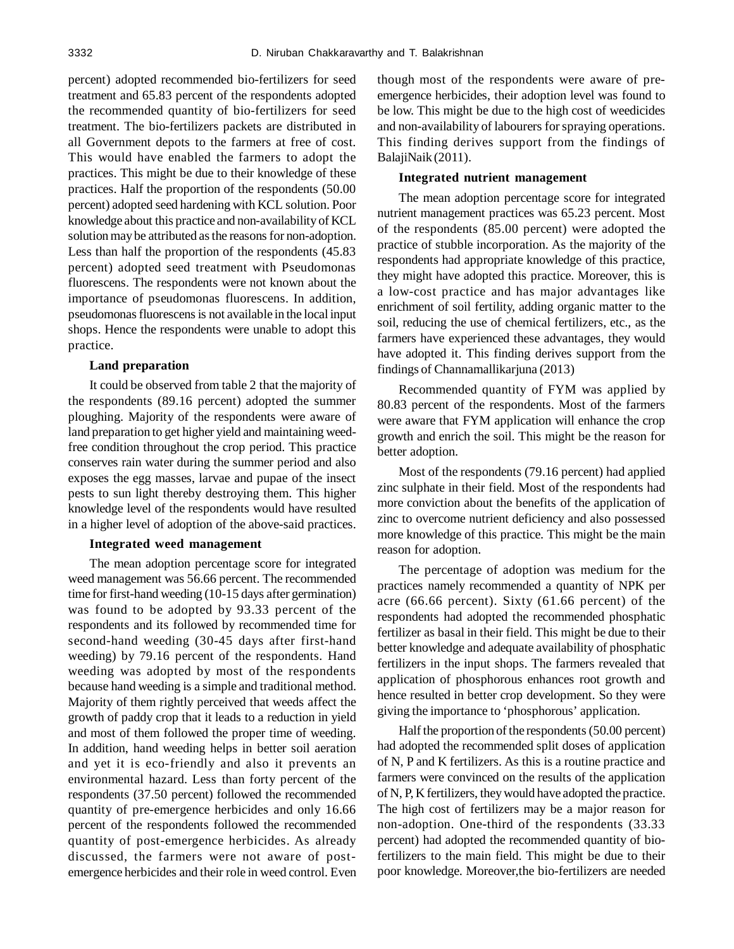percent) adopted recommended bio-fertilizers for seed treatment and 65.83 percent of the respondents adopted the recommended quantity of bio-fertilizers for seed treatment. The bio-fertilizers packets are distributed in all Government depots to the farmers at free of cost. This would have enabled the farmers to adopt the practices. This might be due to their knowledge of these practices. Half the proportion of the respondents (50.00 percent) adopted seed hardening with KCL solution. Poor knowledge about this practice and non-availability of KCL solution may be attributed as the reasons for non-adoption. Less than half the proportion of the respondents (45.83 percent) adopted seed treatment with Pseudomonas fluorescens. The respondents were not known about the importance of pseudomonas fluorescens. In addition, pseudomonas fluorescens is not available in the local input shops. Hence the respondents were unable to adopt this practice.

#### **Land preparation**

It could be observed from table 2 that the majority of the respondents (89.16 percent) adopted the summer ploughing. Majority of the respondents were aware of land preparation to get higher yield and maintaining weedfree condition throughout the crop period. This practice conserves rain water during the summer period and also exposes the egg masses, larvae and pupae of the insect pests to sun light thereby destroying them. This higher knowledge level of the respondents would have resulted in a higher level of adoption of the above-said practices.

#### **Integrated weed management**

The mean adoption percentage score for integrated weed management was 56.66 percent. The recommended time for first-hand weeding (10-15 days after germination) was found to be adopted by 93.33 percent of the respondents and its followed by recommended time for second-hand weeding (30-45 days after first-hand weeding) by 79.16 percent of the respondents. Hand weeding was adopted by most of the respondents because hand weeding is a simple and traditional method. Majority of them rightly perceived that weeds affect the growth of paddy crop that it leads to a reduction in yield and most of them followed the proper time of weeding. In addition, hand weeding helps in better soil aeration and yet it is eco-friendly and also it prevents an environmental hazard. Less than forty percent of the respondents (37.50 percent) followed the recommended quantity of pre-emergence herbicides and only 16.66 percent of the respondents followed the recommended quantity of post-emergence herbicides. As already discussed, the farmers were not aware of postemergence herbicides and their role in weed control. Even though most of the respondents were aware of preemergence herbicides, their adoption level was found to be low. This might be due to the high cost of weedicides and non-availability of labourers for spraying operations. This finding derives support from the findings of BalajiNaik (2011).

# **Integrated nutrient management**

The mean adoption percentage score for integrated nutrient management practices was 65.23 percent. Most of the respondents (85.00 percent) were adopted the practice of stubble incorporation. As the majority of the respondents had appropriate knowledge of this practice, they might have adopted this practice. Moreover, this is a low-cost practice and has major advantages like enrichment of soil fertility, adding organic matter to the soil, reducing the use of chemical fertilizers, etc., as the farmers have experienced these advantages, they would have adopted it. This finding derives support from the findings of Channamallikarjuna (2013)

Recommended quantity of FYM was applied by 80.83 percent of the respondents. Most of the farmers were aware that FYM application will enhance the crop growth and enrich the soil. This might be the reason for better adoption.

Most of the respondents (79.16 percent) had applied zinc sulphate in their field. Most of the respondents had more conviction about the benefits of the application of zinc to overcome nutrient deficiency and also possessed more knowledge of this practice. This might be the main reason for adoption.

The percentage of adoption was medium for the practices namely recommended a quantity of NPK per acre (66.66 percent). Sixty (61.66 percent) of the respondents had adopted the recommended phosphatic fertilizer as basal in their field. This might be due to their better knowledge and adequate availability of phosphatic fertilizers in the input shops. The farmers revealed that application of phosphorous enhances root growth and hence resulted in better crop development. So they were giving the importance to 'phosphorous' application.

Half the proportion of the respondents (50.00 percent) had adopted the recommended split doses of application of N, P and K fertilizers. As this is a routine practice and farmers were convinced on the results of the application of N, P, K fertilizers, they would have adopted the practice. The high cost of fertilizers may be a major reason for non-adoption. One-third of the respondents (33.33 percent) had adopted the recommended quantity of biofertilizers to the main field. This might be due to their poor knowledge. Moreover,the bio-fertilizers are needed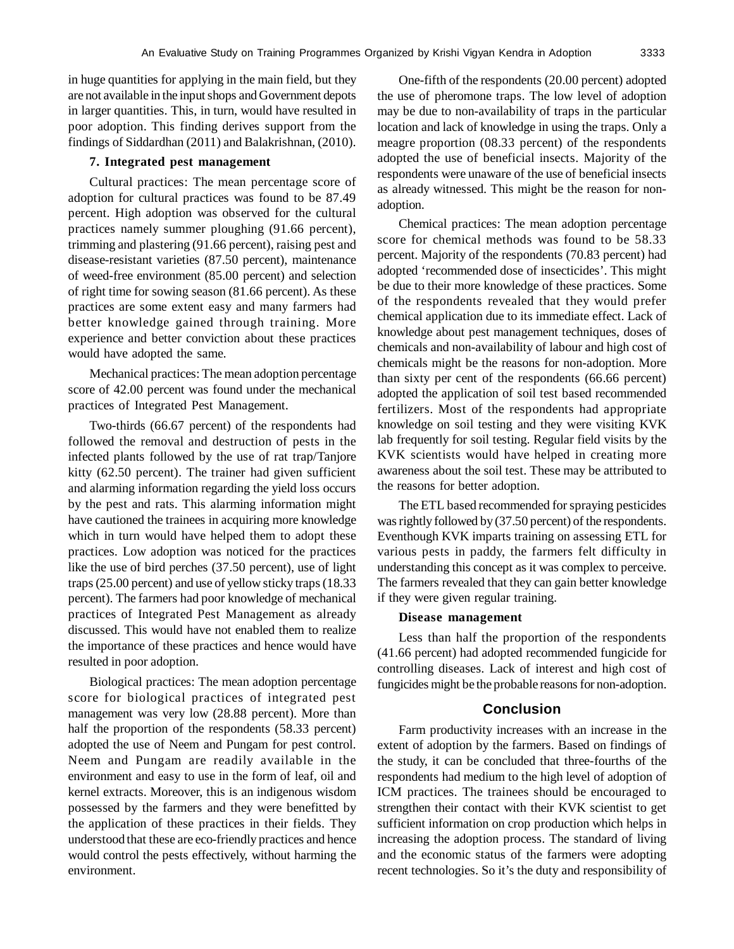in huge quantities for applying in the main field, but they are not available in the input shops and Government depots in larger quantities. This, in turn, would have resulted in poor adoption. This finding derives support from the findings of Siddardhan (2011) and Balakrishnan, (2010).

## **7. Integrated pest management**

Cultural practices: The mean percentage score of adoption for cultural practices was found to be 87.49 percent. High adoption was observed for the cultural practices namely summer ploughing (91.66 percent), trimming and plastering (91.66 percent), raising pest and disease-resistant varieties (87.50 percent), maintenance of weed-free environment (85.00 percent) and selection of right time for sowing season (81.66 percent). As these practices are some extent easy and many farmers had better knowledge gained through training. More experience and better conviction about these practices would have adopted the same.

Mechanical practices: The mean adoption percentage score of 42.00 percent was found under the mechanical practices of Integrated Pest Management.

Two-thirds (66.67 percent) of the respondents had followed the removal and destruction of pests in the infected plants followed by the use of rat trap/Tanjore kitty (62.50 percent). The trainer had given sufficient and alarming information regarding the yield loss occurs by the pest and rats. This alarming information might have cautioned the trainees in acquiring more knowledge which in turn would have helped them to adopt these practices. Low adoption was noticed for the practices like the use of bird perches (37.50 percent), use of light traps (25.00 percent) and use of yellow sticky traps (18.33 percent). The farmers had poor knowledge of mechanical practices of Integrated Pest Management as already discussed. This would have not enabled them to realize the importance of these practices and hence would have resulted in poor adoption.

Biological practices: The mean adoption percentage score for biological practices of integrated pest management was very low (28.88 percent). More than half the proportion of the respondents (58.33 percent) adopted the use of Neem and Pungam for pest control. Neem and Pungam are readily available in the environment and easy to use in the form of leaf, oil and kernel extracts. Moreover, this is an indigenous wisdom possessed by the farmers and they were benefitted by the application of these practices in their fields. They understood that these are eco-friendly practices and hence would control the pests effectively, without harming the environment.

One-fifth of the respondents (20.00 percent) adopted the use of pheromone traps. The low level of adoption may be due to non-availability of traps in the particular location and lack of knowledge in using the traps. Only a meagre proportion (08.33 percent) of the respondents adopted the use of beneficial insects. Majority of the respondents were unaware of the use of beneficial insects as already witnessed. This might be the reason for nonadoption.

Chemical practices: The mean adoption percentage score for chemical methods was found to be 58.33 percent. Majority of the respondents (70.83 percent) had adopted 'recommended dose of insecticides'. This might be due to their more knowledge of these practices. Some of the respondents revealed that they would prefer chemical application due to its immediate effect. Lack of knowledge about pest management techniques, doses of chemicals and non-availability of labour and high cost of chemicals might be the reasons for non-adoption. More than sixty per cent of the respondents (66.66 percent) adopted the application of soil test based recommended fertilizers. Most of the respondents had appropriate knowledge on soil testing and they were visiting KVK lab frequently for soil testing. Regular field visits by the KVK scientists would have helped in creating more awareness about the soil test. These may be attributed to the reasons for better adoption.

The ETL based recommended for spraying pesticides was rightly followed by (37.50 percent) of the respondents. Eventhough KVK imparts training on assessing ETL for various pests in paddy, the farmers felt difficulty in understanding this concept as it was complex to perceive. The farmers revealed that they can gain better knowledge if they were given regular training.

#### **Disease management**

Less than half the proportion of the respondents (41.66 percent) had adopted recommended fungicide for controlling diseases. Lack of interest and high cost of fungicides might be the probable reasons for non-adoption.

## **Conclusion**

Farm productivity increases with an increase in the extent of adoption by the farmers. Based on findings of the study, it can be concluded that three-fourths of the respondents had medium to the high level of adoption of ICM practices. The trainees should be encouraged to strengthen their contact with their KVK scientist to get sufficient information on crop production which helps in increasing the adoption process. The standard of living and the economic status of the farmers were adopting recent technologies. So it's the duty and responsibility of